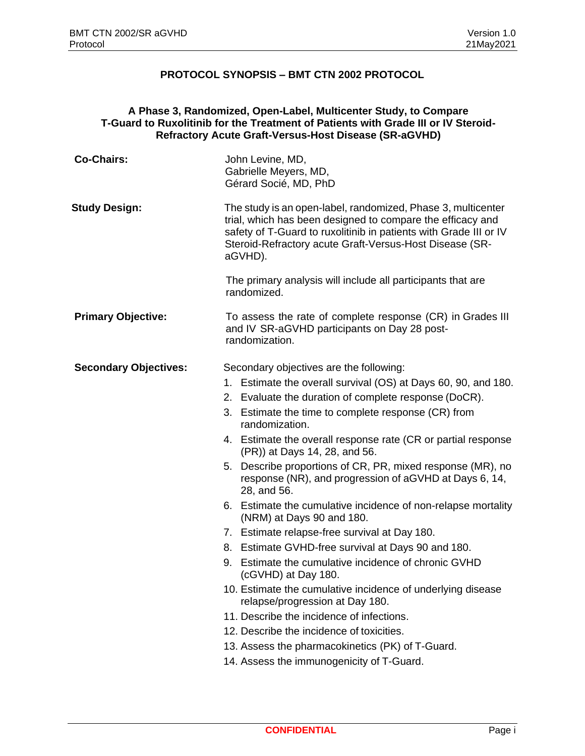## **PROTOCOL SYNOPSIS – BMT CTN 2002 PROTOCOL**

## **A Phase 3, Randomized, Open-Label, Multicenter Study, to Compare T-Guard to Ruxolitinib for the Treatment of Patients with Grade III or IV Steroid-Refractory Acute Graft-Versus-Host Disease (SR-aGVHD)**

| <b>Co-Chairs:</b>            | John Levine, MD,<br>Gabrielle Meyers, MD,<br>Gérard Socié, MD, PhD                                                                                                                                                                                                                                                                                                                                                                                                                                                                                                                                                                                                                                                                                                                                                                                                                                                                                                                                                                                                             |
|------------------------------|--------------------------------------------------------------------------------------------------------------------------------------------------------------------------------------------------------------------------------------------------------------------------------------------------------------------------------------------------------------------------------------------------------------------------------------------------------------------------------------------------------------------------------------------------------------------------------------------------------------------------------------------------------------------------------------------------------------------------------------------------------------------------------------------------------------------------------------------------------------------------------------------------------------------------------------------------------------------------------------------------------------------------------------------------------------------------------|
| <b>Study Design:</b>         | The study is an open-label, randomized, Phase 3, multicenter<br>trial, which has been designed to compare the efficacy and<br>safety of T-Guard to ruxolitinib in patients with Grade III or IV<br>Steroid-Refractory acute Graft-Versus-Host Disease (SR-<br>aGVHD).                                                                                                                                                                                                                                                                                                                                                                                                                                                                                                                                                                                                                                                                                                                                                                                                          |
|                              | The primary analysis will include all participants that are<br>randomized.                                                                                                                                                                                                                                                                                                                                                                                                                                                                                                                                                                                                                                                                                                                                                                                                                                                                                                                                                                                                     |
| <b>Primary Objective:</b>    | To assess the rate of complete response (CR) in Grades III<br>and IV SR-aGVHD participants on Day 28 post-<br>randomization.                                                                                                                                                                                                                                                                                                                                                                                                                                                                                                                                                                                                                                                                                                                                                                                                                                                                                                                                                   |
| <b>Secondary Objectives:</b> | Secondary objectives are the following:<br>1. Estimate the overall survival (OS) at Days 60, 90, and 180.<br>2. Evaluate the duration of complete response (DoCR).<br>3. Estimate the time to complete response (CR) from<br>randomization.<br>4. Estimate the overall response rate (CR or partial response<br>(PR)) at Days 14, 28, and 56.<br>Describe proportions of CR, PR, mixed response (MR), no<br>5.<br>response (NR), and progression of aGVHD at Days 6, 14,<br>28, and 56.<br>6. Estimate the cumulative incidence of non-relapse mortality<br>(NRM) at Days 90 and 180.<br>7. Estimate relapse-free survival at Day 180.<br>Estimate GVHD-free survival at Days 90 and 180.<br>8.<br>Estimate the cumulative incidence of chronic GVHD<br>9.<br>(cGVHD) at Day 180.<br>10. Estimate the cumulative incidence of underlying disease<br>relapse/progression at Day 180.<br>11. Describe the incidence of infections.<br>12. Describe the incidence of toxicities.<br>13. Assess the pharmacokinetics (PK) of T-Guard.<br>14. Assess the immunogenicity of T-Guard. |
|                              |                                                                                                                                                                                                                                                                                                                                                                                                                                                                                                                                                                                                                                                                                                                                                                                                                                                                                                                                                                                                                                                                                |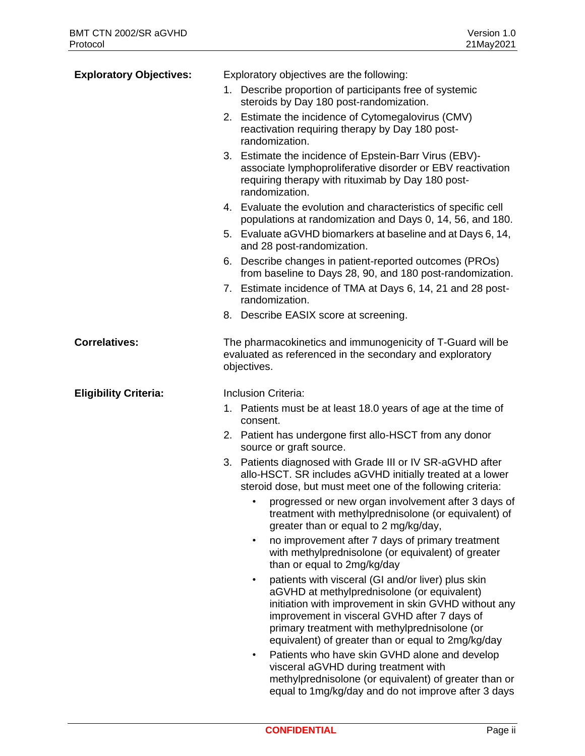| <b>Exploratory Objectives:</b> | Exploratory objectives are the following:                                                                                                                                                                                                                                                                                     |
|--------------------------------|-------------------------------------------------------------------------------------------------------------------------------------------------------------------------------------------------------------------------------------------------------------------------------------------------------------------------------|
|                                | 1. Describe proportion of participants free of systemic                                                                                                                                                                                                                                                                       |
|                                | steroids by Day 180 post-randomization.                                                                                                                                                                                                                                                                                       |
|                                | 2. Estimate the incidence of Cytomegalovirus (CMV)<br>reactivation requiring therapy by Day 180 post-<br>randomization.                                                                                                                                                                                                       |
|                                | 3. Estimate the incidence of Epstein-Barr Virus (EBV)-<br>associate lymphoproliferative disorder or EBV reactivation<br>requiring therapy with rituximab by Day 180 post-<br>randomization.                                                                                                                                   |
|                                | 4. Evaluate the evolution and characteristics of specific cell<br>populations at randomization and Days 0, 14, 56, and 180.                                                                                                                                                                                                   |
|                                | 5. Evaluate aGVHD biomarkers at baseline and at Days 6, 14,<br>and 28 post-randomization.                                                                                                                                                                                                                                     |
|                                | 6. Describe changes in patient-reported outcomes (PROs)<br>from baseline to Days 28, 90, and 180 post-randomization.                                                                                                                                                                                                          |
|                                | 7. Estimate incidence of TMA at Days 6, 14, 21 and 28 post-<br>randomization.                                                                                                                                                                                                                                                 |
|                                | 8. Describe EASIX score at screening.                                                                                                                                                                                                                                                                                         |
| <b>Correlatives:</b>           | The pharmacokinetics and immunogenicity of T-Guard will be<br>evaluated as referenced in the secondary and exploratory<br>objectives.                                                                                                                                                                                         |
| <b>Eligibility Criteria:</b>   | Inclusion Criteria:                                                                                                                                                                                                                                                                                                           |
|                                | 1. Patients must be at least 18.0 years of age at the time of<br>consent.                                                                                                                                                                                                                                                     |
|                                | 2. Patient has undergone first allo-HSCT from any donor<br>source or graft source.                                                                                                                                                                                                                                            |
|                                | Patients diagnosed with Grade III or IV SR-aGVHD after<br>3.<br>allo-HSCT. SR includes aGVHD initially treated at a lower<br>steroid dose, but must meet one of the following criteria:                                                                                                                                       |
|                                | progressed or new organ involvement after 3 days of<br>treatment with methylprednisolone (or equivalent) of<br>greater than or equal to 2 mg/kg/day,                                                                                                                                                                          |
|                                | no improvement after 7 days of primary treatment<br>$\bullet$<br>with methylprednisolone (or equivalent) of greater<br>than or equal to 2mg/kg/day                                                                                                                                                                            |
|                                | patients with visceral (GI and/or liver) plus skin<br>$\bullet$<br>aGVHD at methylprednisolone (or equivalent)<br>initiation with improvement in skin GVHD without any<br>improvement in visceral GVHD after 7 days of<br>primary treatment with methylprednisolone (or<br>equivalent) of greater than or equal to 2mg/kg/day |
|                                | Patients who have skin GVHD alone and develop<br>$\bullet$<br>visceral aGVHD during treatment with                                                                                                                                                                                                                            |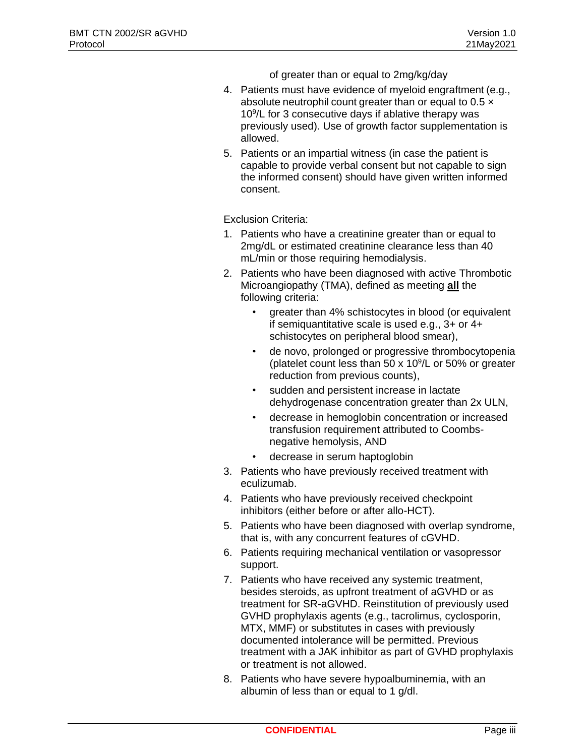of greater than or equal to 2mg/kg/day

- 4. Patients must have evidence of myeloid engraftment (e.g., absolute neutrophil count greater than or equal to  $0.5 \times$ 10<sup>9</sup> /L for 3 consecutive days if ablative therapy was previously used). Use of growth factor supplementation is allowed.
- 5. Patients or an impartial witness (in case the patient is capable to provide verbal consent but not capable to sign the informed consent) should have given written informed consent.

Exclusion Criteria:

- 1. Patients who have a creatinine greater than or equal to 2mg/dL or estimated creatinine clearance less than 40 mL/min or those requiring hemodialysis.
- 2. Patients who have been diagnosed with active Thrombotic Microangiopathy (TMA), defined as meeting **all** the following criteria:
	- greater than 4% schistocytes in blood (or equivalent if semiquantitative scale is used e.g., 3+ or 4+ schistocytes on peripheral blood smear),
	- de novo, prolonged or progressive thrombocytopenia (platelet count less than 50  $\times$  10 $\frac{9}{L}$  or 50% or greater reduction from previous counts),
	- sudden and persistent increase in lactate dehydrogenase concentration greater than 2x ULN,
	- decrease in hemoglobin concentration or increased transfusion requirement attributed to Coombsnegative hemolysis, AND
	- decrease in serum haptoglobin
- 3. Patients who have previously received treatment with eculizumab.
- 4. Patients who have previously received checkpoint inhibitors (either before or after allo-HCT).
- 5. Patients who have been diagnosed with overlap syndrome, that is, with any concurrent features of cGVHD.
- 6. Patients requiring mechanical ventilation or vasopressor support.
- 7. Patients who have received any systemic treatment, besides steroids, as upfront treatment of aGVHD or as treatment for SR-aGVHD. Reinstitution of previously used GVHD prophylaxis agents (e.g., tacrolimus, cyclosporin, MTX, MMF) or substitutes in cases with previously documented intolerance will be permitted. Previous treatment with a JAK inhibitor as part of GVHD prophylaxis or treatment is not allowed.
- 8. Patients who have severe hypoalbuminemia, with an albumin of less than or equal to 1 g/dl.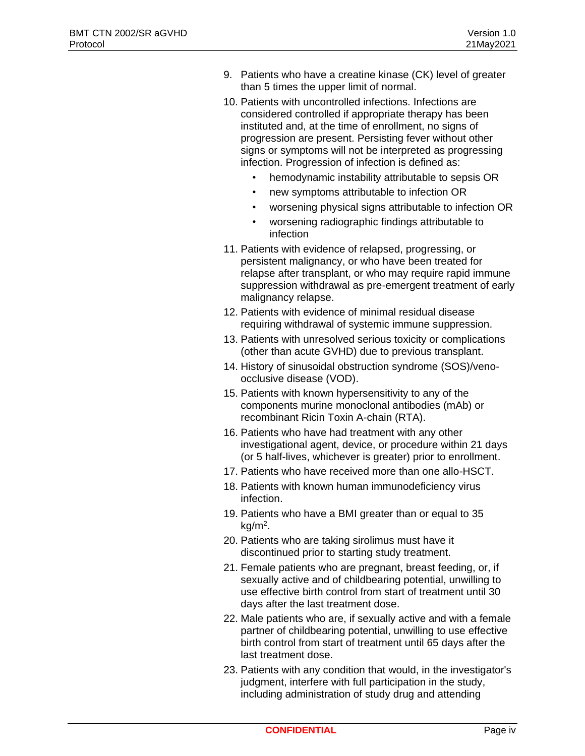- 9. Patients who have a creatine kinase (CK) level of greater than 5 times the upper limit of normal.
- 10. Patients with uncontrolled infections. Infections are considered controlled if appropriate therapy has been instituted and, at the time of enrollment, no signs of progression are present. Persisting fever without other signs or symptoms will not be interpreted as progressing infection. Progression of infection is defined as:
	- hemodynamic instability attributable to sepsis OR
	- new symptoms attributable to infection OR
	- worsening physical signs attributable to infection OR
	- worsening radiographic findings attributable to infection
- 11. Patients with evidence of relapsed, progressing, or persistent malignancy, or who have been treated for relapse after transplant, or who may require rapid immune suppression withdrawal as pre-emergent treatment of early malignancy relapse.
- 12. Patients with evidence of minimal residual disease requiring withdrawal of systemic immune suppression.
- 13. Patients with unresolved serious toxicity or complications (other than acute GVHD) due to previous transplant.
- 14. History of sinusoidal obstruction syndrome (SOS)/venoocclusive disease (VOD).
- 15. Patients with known hypersensitivity to any of the components murine monoclonal antibodies (mAb) or recombinant Ricin Toxin A-chain (RTA).
- 16. Patients who have had treatment with any other investigational agent, device, or procedure within 21 days (or 5 half-lives, whichever is greater) prior to enrollment.
- 17. Patients who have received more than one allo-HSCT.
- 18. Patients with known human immunodeficiency virus infection.
- 19. Patients who have a BMI greater than or equal to 35 kg/m<sup>2</sup> .
- 20. Patients who are taking sirolimus must have it discontinued prior to starting study treatment.
- 21. Female patients who are pregnant, breast feeding, or, if sexually active and of childbearing potential, unwilling to use effective birth control from start of treatment until 30 days after the last treatment dose.
- 22. Male patients who are, if sexually active and with a female partner of childbearing potential, unwilling to use effective birth control from start of treatment until 65 days after the last treatment dose.
- 23. Patients with any condition that would, in the investigator's judgment, interfere with full participation in the study, including administration of study drug and attending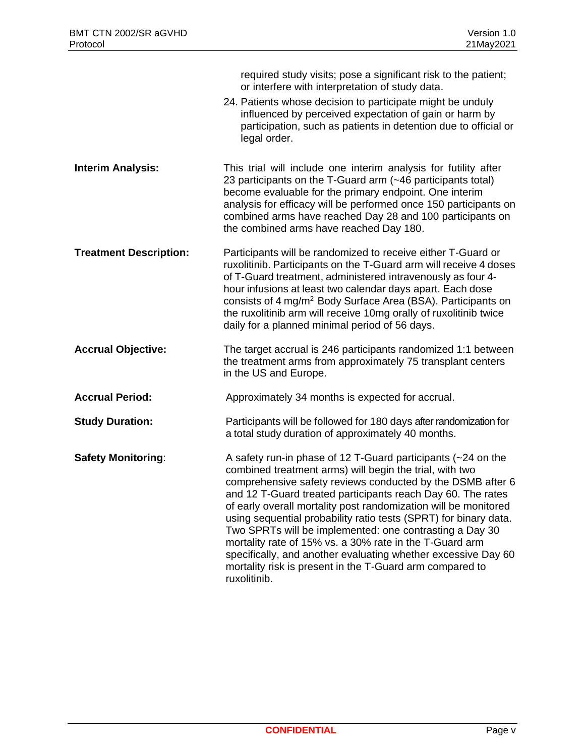|                               | required study visits; pose a significant risk to the patient;<br>or interfere with interpretation of study data.<br>24. Patients whose decision to participate might be unduly<br>influenced by perceived expectation of gain or harm by<br>participation, such as patients in detention due to official or<br>legal order.                                                                                                                                                                                                                                                                                                                                   |
|-------------------------------|----------------------------------------------------------------------------------------------------------------------------------------------------------------------------------------------------------------------------------------------------------------------------------------------------------------------------------------------------------------------------------------------------------------------------------------------------------------------------------------------------------------------------------------------------------------------------------------------------------------------------------------------------------------|
| <b>Interim Analysis:</b>      | This trial will include one interim analysis for futility after<br>23 participants on the T-Guard arm (~46 participants total)<br>become evaluable for the primary endpoint. One interim<br>analysis for efficacy will be performed once 150 participants on<br>combined arms have reached Day 28 and 100 participants on<br>the combined arms have reached Day 180.                                                                                                                                                                                                                                                                                           |
| <b>Treatment Description:</b> | Participants will be randomized to receive either T-Guard or<br>ruxolitinib. Participants on the T-Guard arm will receive 4 doses<br>of T-Guard treatment, administered intravenously as four 4-<br>hour infusions at least two calendar days apart. Each dose<br>consists of 4 mg/m <sup>2</sup> Body Surface Area (BSA). Participants on<br>the ruxolitinib arm will receive 10mg orally of ruxolitinib twice<br>daily for a planned minimal period of 56 days.                                                                                                                                                                                              |
| <b>Accrual Objective:</b>     | The target accrual is 246 participants randomized 1:1 between<br>the treatment arms from approximately 75 transplant centers<br>in the US and Europe.                                                                                                                                                                                                                                                                                                                                                                                                                                                                                                          |
| <b>Accrual Period:</b>        | Approximately 34 months is expected for accrual.                                                                                                                                                                                                                                                                                                                                                                                                                                                                                                                                                                                                               |
| <b>Study Duration:</b>        | Participants will be followed for 180 days after randomization for<br>a total study duration of approximately 40 months.                                                                                                                                                                                                                                                                                                                                                                                                                                                                                                                                       |
| <b>Safety Monitoring:</b>     | A safety run-in phase of 12 T-Guard participants (~24 on the<br>combined treatment arms) will begin the trial, with two<br>comprehensive safety reviews conducted by the DSMB after 6<br>and 12 T-Guard treated participants reach Day 60. The rates<br>of early overall mortality post randomization will be monitored<br>using sequential probability ratio tests (SPRT) for binary data.<br>Two SPRTs will be implemented: one contrasting a Day 30<br>mortality rate of 15% vs. a 30% rate in the T-Guard arm<br>specifically, and another evaluating whether excessive Day 60<br>mortality risk is present in the T-Guard arm compared to<br>ruxolitinib. |